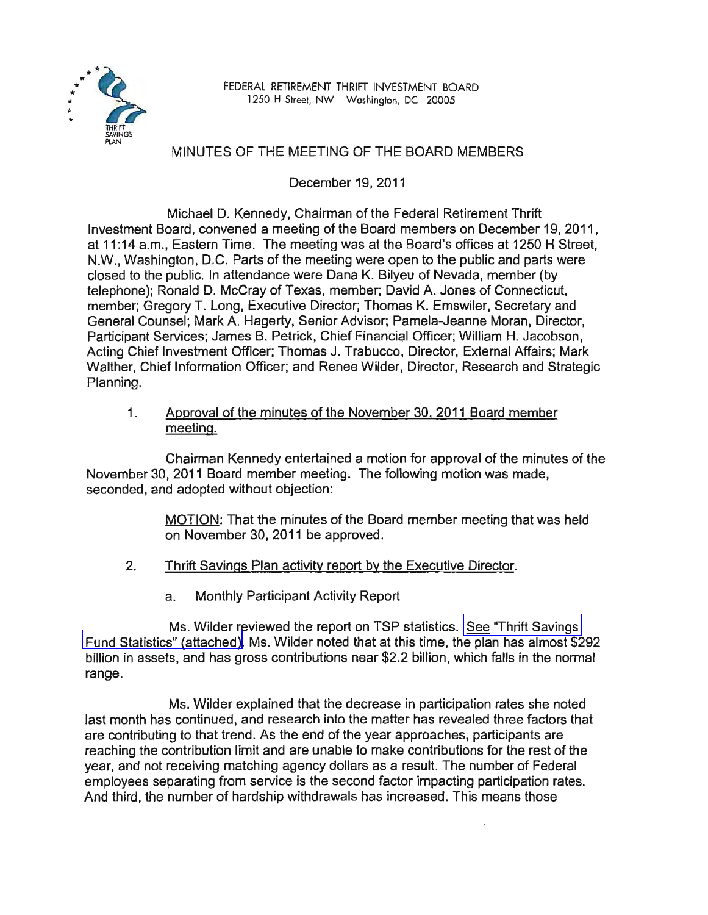

FEDERAL RETIREMENT THRIFT INVESTMENT BOARD 1250 H Street, NW Washington, DC 20005

## MINUTES OF THE MEETING OF THE BOARD MEMBERS

December 19, 2011

Michael D. Kennedy, Chairman of the Federal Retirement Thrift Investment Board, convened a meeting of the Board members on December 19, 2011, at 11:14 a.m., Eastern Time. The meeting was at the Board's offices at 1250 H Street, N.w., Washington, D.C. Parts of the meeting were open to the public and parts were closed to the public. In attendance were Dana K. Bilyeu of Nevada, member (by telephone); Ronald D. McCray of Texas, member; David A. Jones of Connecticut, member; Gregory T. Long, Executive Director; Thomas K. Emswiler, Secretary and General Counsel; Mark A. Hagerty, Senior Advisor; Pamela-Jeanne Moran, Director, Participant Services; James B. Petrick, Chief Financial Officer; William H. Jacobson, Acting Chief Investment Officer; Thomas J. Trabucco, Director, External Affairs; Mark Walther, Chief Information Officer; and Renee Wilder, Director, Research and Strategic Planning.

1. Approval of the minutes of the November 30. 2011 Board member meeting.

Chairman Kennedy entertained a motion for approval of the minutes of the November 30,2011 Board member meeting. The following motion was made, seconded, and adopted without objection:

> MOTION: That the minutes of the Board member meeting that was held on November 30, 2011 be approved.

- 2. Thrift Savings Plan activity report by the Executive Director.
	- a. Monthly Participant Activity Report

Ms. Wilder reviewed the report on TSP statistics. [See "Thrift Savings](www.frtib.gov/pdf/minutes/MM-2011Dec-Att1.pdf)  [Fund Statistics" \(attached\).](www.frtib.gov/pdf/minutes/MM-2011Dec-Att1.pdf) Ms. Wilder noted that at this time, the plan has almost \$292 billion in assets, and has gross contributions near \$2.2 billion, which falls in the normal range.

Ms. Wilder explained that the decrease in participation rates she noted last month has continued, and research into the matter has revealed three factors that are contributing to that trend. As the end of the year approaches, participants are reaching the contribution limit and are unable to make contributions for the rest of the year, and not receiving matching agency dollars as a result. The number of Federal employees separating from service is the second factor impacting participation rates. And third, the number of hardship withdrawals has increased. This means those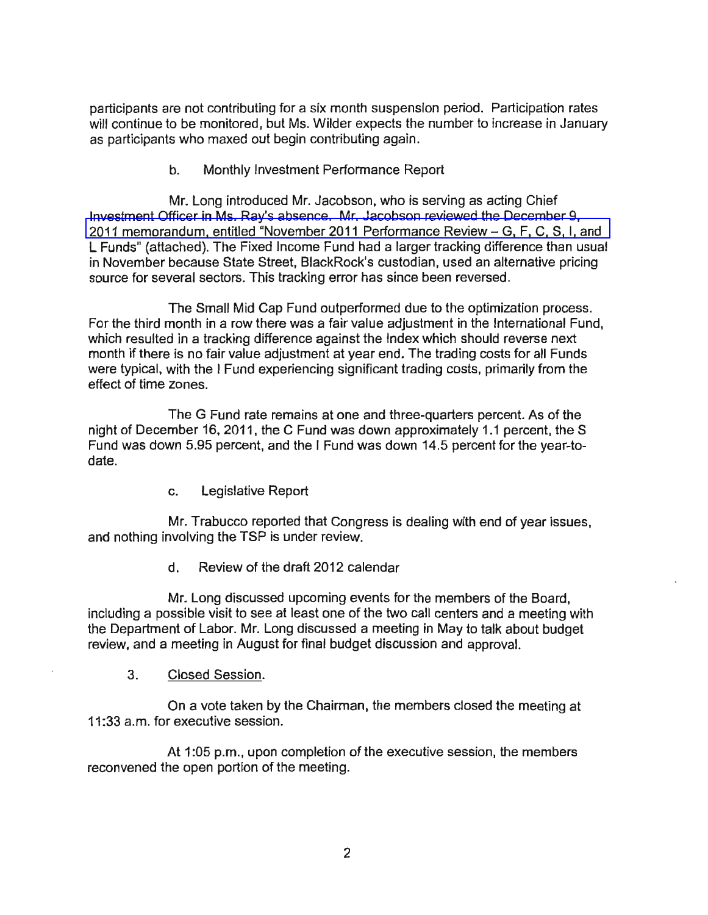participants are not contributing for a six month suspension period. Participation rates will continue to be monitored, but Ms. Wilder expects the number to increase in January as participants who maxed out begin contributing again.

b. Monthly Investment Performance Report

Mr. Long introduced Mr. Jacobson, who is serving as acting Chief Investment Officer in Ms. Ray's absence. Mr. Jacobson reviewed the December 9, [2011 memorandum, entitled "November 2011 Performance Review - G, F, C, S, I, and](www.frtib.gov/pdf/minutes/MM-2011Dec-Att2.pdf)  L Funds" (attached). The Fixed Income Fund had a larger tracking difference than usual in November because State Street, BlackRock's custodian, used an alternative pricing source for several sectors. This tracking error has since been reversed.

The Small Mid Cap Fund outperformed due to the optimization process. For the third month in a row there was a fair value adjustment in the International Fund, which resulted in a tracking difference against the Index which should reverse next month if there is no fair value adjustment at year end. The trading costs for all Funds were typical, with the I Fund experiencing significant trading costs, primarily from the effect of time zones.

The G Fund rate remains at one and three-quarters percent. As of the night of December 16, 2011, the C Fund was down approximately 1.1 percent, the S Fund was down 5.95 percent, and the I Fund was down 14.5 percent for the year-todate.

c. Legislative Report

Mr. Trabucco reported that Congress is dealing with end of year issues, and nothing involving the TSP is under review.

d. Review of the draft 2012 calendar

Mr. Long discussed upcoming events for the members of the Board, including a possible visit to see at least one of the two call centers and a meeting with the Department of Labor. Mr. Long discussed a meeting in May to talk about budget review, and a meeting in August for final budget discussion and approval.

3. Closed Session.

On a vote taken by the Chairman, the members closed the meeting at 11:33 a.m. for executive session.

At 1:05 p.m., upon completion of the executive session, the members reconvened the open portion of the meeting.